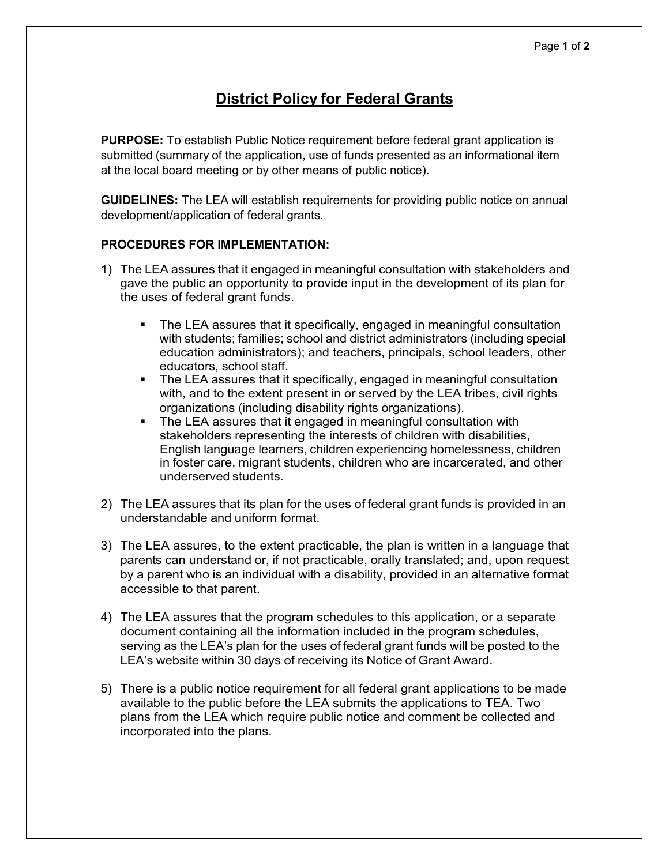## **District Policy for Federal Grants**

**PURPOSE:** To establish Public Notice requirement before federal grant application is submitted (summary of the application, use of funds presented as an informational item at the local board meeting or by other means of public notice).

**GUIDELINES:** The LEA will establish requirements for providing public notice on annual development/application of federal grants.

## **PROCEDURES FOR IMPLEMENTATION:**

- 1) The LEA assures that it engaged in meaningful consultation with stakeholders and gave the public an opportunity to provide input in the development of its plan for the uses of federal grant funds.
	- The LEA assures that it specifically, engaged in meaningful consultation with students; families; school and district administrators (including special education administrators); and teachers, principals, school leaders, other educators, school staff.
	- The LEA assures that it specifically, engaged in meaningful consultation with, and to the extent present in or served by the LEA tribes, civil rights organizations (including disability rights organizations).
	- The LEA assures that it engaged in meaningful consultation with stakeholders representing the interests of children with disabilities, English language learners, children experiencing homelessness, children in foster care, migrant students, children who are incarcerated, and other underserved students.
- 2) The LEA assures that its plan for the uses of federal grant funds is provided in an understandable and uniform format.
- 3) The LEA assures, to the extent practicable, the plan is written in a language that parents can understand or, if not practicable, orally translated; and, upon request by a parent who is an individual with a disability, provided in an alternative format accessible to that parent.
- 4) The LEA assures that the program schedules to this application, or a separate document containing all the information included in the program schedules, serving as the LEA's plan for the uses of federal grant funds will be posted to the LEA's website within 30 days of receiving its Notice of Grant Award.
- 5) There is a public notice requirement for all federal grant applications to be made available to the public before the LEA submits the applications to TEA. Two plans from the LEA which require public notice and comment be collected and incorporated into the plans.